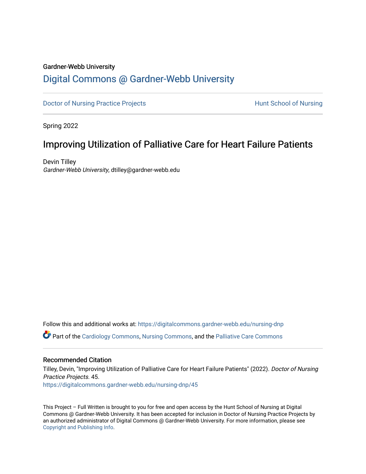## Gardner-Webb University

# [Digital Commons @ Gardner-Webb University](https://digitalcommons.gardner-webb.edu/)

[Doctor of Nursing Practice Projects](https://digitalcommons.gardner-webb.edu/nursing-dnp) **Exercise Exercise Serverse Hunt School of Nursing** 

Spring 2022

# Improving Utilization of Palliative Care for Heart Failure Patients

Devin Tilley Gardner-Webb University, dtilley@gardner-webb.edu

Follow this and additional works at: [https://digitalcommons.gardner-webb.edu/nursing-dnp](https://digitalcommons.gardner-webb.edu/nursing-dnp?utm_source=digitalcommons.gardner-webb.edu%2Fnursing-dnp%2F45&utm_medium=PDF&utm_campaign=PDFCoverPages) 

Part of the [Cardiology Commons](https://network.bepress.com/hgg/discipline/683?utm_source=digitalcommons.gardner-webb.edu%2Fnursing-dnp%2F45&utm_medium=PDF&utm_campaign=PDFCoverPages), [Nursing Commons](https://network.bepress.com/hgg/discipline/718?utm_source=digitalcommons.gardner-webb.edu%2Fnursing-dnp%2F45&utm_medium=PDF&utm_campaign=PDFCoverPages), and the [Palliative Care Commons](https://network.bepress.com/hgg/discipline/1265?utm_source=digitalcommons.gardner-webb.edu%2Fnursing-dnp%2F45&utm_medium=PDF&utm_campaign=PDFCoverPages) 

## Recommended Citation

Tilley, Devin, "Improving Utilization of Palliative Care for Heart Failure Patients" (2022). Doctor of Nursing Practice Projects. 45.

[https://digitalcommons.gardner-webb.edu/nursing-dnp/45](https://digitalcommons.gardner-webb.edu/nursing-dnp/45?utm_source=digitalcommons.gardner-webb.edu%2Fnursing-dnp%2F45&utm_medium=PDF&utm_campaign=PDFCoverPages)

This Project – Full Written is brought to you for free and open access by the Hunt School of Nursing at Digital Commons @ Gardner-Webb University. It has been accepted for inclusion in Doctor of Nursing Practice Projects by an authorized administrator of Digital Commons @ Gardner-Webb University. For more information, please see [Copyright and Publishing Info.](https://digitalcommons.gardner-webb.edu/copyright_publishing.html)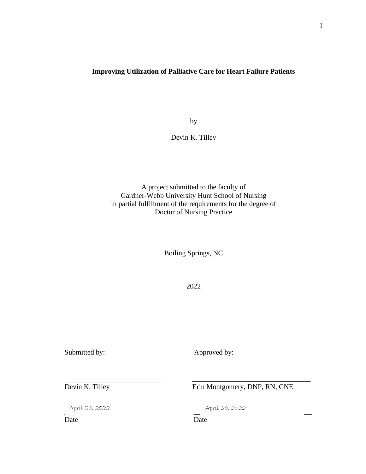## **Improving Utilization of Palliative Care for Heart Failure Patients**

by

Devin K. Tilley

A project submitted to the faculty of Gardner-Webb University Hunt School of Nursing in partial fulfillment of the requirements for the degree of Doctor of Nursing Practice

Boiling Springs, NC

2022

Submitted by: Approved by:

 $\mathcal{L}_\mathcal{L}$  , which is a set of the set of the set of the set of the set of the set of the set of the set of the set of the set of the set of the set of the set of the set of the set of the set of the set of the set of

Devin K. Tilley Erin Montgomery, DNP, RN, CNE

\_\_\_\_\_\_\_\_\_\_\_\_\_\_\_\_\_\_\_\_\_\_\_\_\_\_\_\_\_\_\_\_\_

 $\pi$ pril 20, 2022 –  $\pi$  ,  $\pi$ pril 20, 2022 –  $\pi$ 

April 20, 2022 April 20, 2022

Date Date Date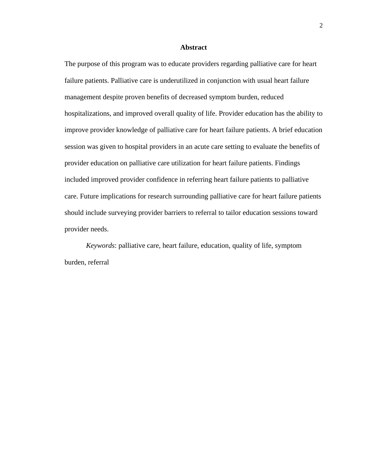#### **Abstract**

The purpose of this program was to educate providers regarding palliative care for heart failure patients. Palliative care is underutilized in conjunction with usual heart failure management despite proven benefits of decreased symptom burden, reduced hospitalizations, and improved overall quality of life. Provider education has the ability to improve provider knowledge of palliative care for heart failure patients. A brief education session was given to hospital providers in an acute care setting to evaluate the benefits of provider education on palliative care utilization for heart failure patients. Findings included improved provider confidence in referring heart failure patients to palliative care. Future implications for research surrounding palliative care for heart failure patients should include surveying provider barriers to referral to tailor education sessions toward provider needs.

*Keywords*: palliative care, heart failure, education, quality of life, symptom burden, referral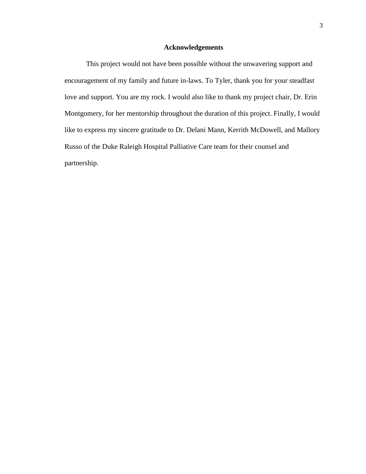## **Acknowledgements**

This project would not have been possible without the unwavering support and encouragement of my family and future in-laws. To Tyler, thank you for your steadfast love and support. You are my rock. I would also like to thank my project chair, Dr. Erin Montgomery, for her mentorship throughout the duration of this project. Finally, I would like to express my sincere gratitude to Dr. Delani Mann, Kerrith McDowell, and Mallory Russo of the Duke Raleigh Hospital Palliative Care team for their counsel and partnership.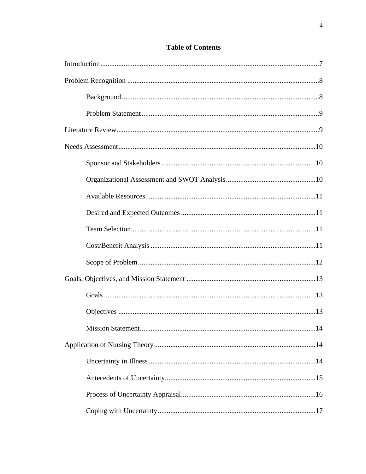| .14 |
|-----|
|     |
|     |
|     |
|     |
|     |

## **Table of Contents**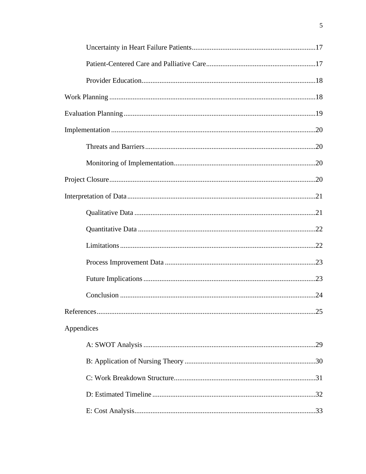| Appendices |
|------------|
|            |
|            |
|            |
|            |
|            |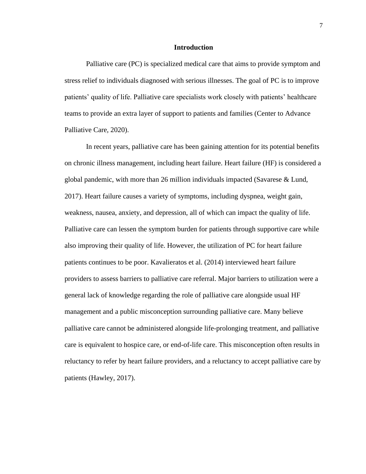### **Introduction**

Palliative care (PC) is specialized medical care that aims to provide symptom and stress relief to individuals diagnosed with serious illnesses. The goal of PC is to improve patients' quality of life. Palliative care specialists work closely with patients' healthcare teams to provide an extra layer of support to patients and families (Center to Advance Palliative Care, 2020).

In recent years, palliative care has been gaining attention for its potential benefits on chronic illness management, including heart failure. Heart failure (HF) is considered a global pandemic, with more than 26 million individuals impacted (Savarese & Lund, 2017). Heart failure causes a variety of symptoms, including dyspnea, weight gain, weakness, nausea, anxiety, and depression, all of which can impact the quality of life. Palliative care can lessen the symptom burden for patients through supportive care while also improving their quality of life. However, the utilization of PC for heart failure patients continues to be poor. Kavalieratos et al. (2014) interviewed heart failure providers to assess barriers to palliative care referral. Major barriers to utilization were a general lack of knowledge regarding the role of palliative care alongside usual HF management and a public misconception surrounding palliative care. Many believe palliative care cannot be administered alongside life-prolonging treatment, and palliative care is equivalent to hospice care, or end-of-life care. This misconception often results in reluctancy to refer by heart failure providers, and a reluctancy to accept palliative care by patients (Hawley, 2017).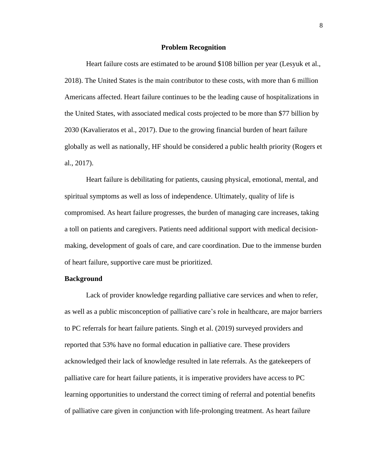#### **Problem Recognition**

Heart failure costs are estimated to be around \$108 billion per year (Lesyuk et al., 2018). The United States is the main contributor to these costs, with more than 6 million Americans affected. Heart failure continues to be the leading cause of hospitalizations in the United States, with associated medical costs projected to be more than \$77 billion by 2030 (Kavalieratos et al., 2017). Due to the growing financial burden of heart failure globally as well as nationally, HF should be considered a public health priority (Rogers et al., 2017).

Heart failure is debilitating for patients, causing physical, emotional, mental, and spiritual symptoms as well as loss of independence. Ultimately, quality of life is compromised. As heart failure progresses, the burden of managing care increases, taking a toll on patients and caregivers. Patients need additional support with medical decisionmaking, development of goals of care, and care coordination. Due to the immense burden of heart failure, supportive care must be prioritized.

## **Background**

Lack of provider knowledge regarding palliative care services and when to refer, as well as a public misconception of palliative care's role in healthcare, are major barriers to PC referrals for heart failure patients. Singh et al. (2019) surveyed providers and reported that 53% have no formal education in palliative care. These providers acknowledged their lack of knowledge resulted in late referrals. As the gatekeepers of palliative care for heart failure patients, it is imperative providers have access to PC learning opportunities to understand the correct timing of referral and potential benefits of palliative care given in conjunction with life-prolonging treatment. As heart failure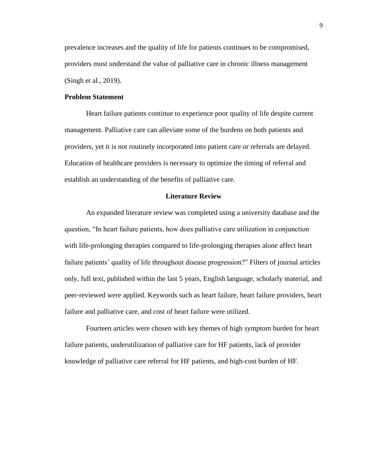prevalence increases and the quality of life for patients continues to be compromised, providers must understand the value of palliative care in chronic illness management (Singh et al., 2019).

## **Problem Statement**

Heart failure patients continue to experience poor quality of life despite current management. Palliative care can alleviate some of the burdens on both patients and providers, yet it is not routinely incorporated into patient care or referrals are delayed. Education of healthcare providers is necessary to optimize the timing of referral and establish an understanding of the benefits of palliative care.

## **Literature Review**

An expanded literature review was completed using a university database and the question, "In heart failure patients, how does palliative care utilization in conjunction with life-prolonging therapies compared to life-prolonging therapies alone affect heart failure patients' quality of life throughout disease progression?" Filters of journal articles only, full text, published within the last 5 years, English language, scholarly material, and peer-reviewed were applied. Keywords such as heart failure, heart failure providers, heart failure and palliative care, and cost of heart failure were utilized.

Fourteen articles were chosen with key themes of high symptom burden for heart failure patients, underutilization of palliative care for HF patients, lack of provider knowledge of palliative care referral for HF patients, and high-cost burden of HF.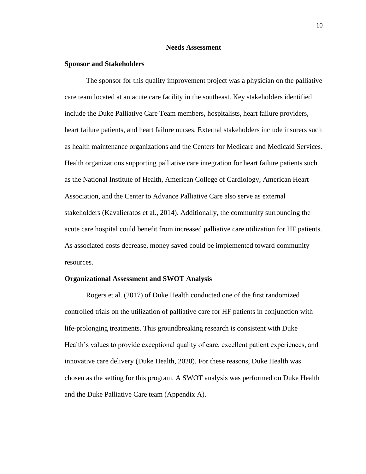### **Needs Assessment**

### **Sponsor and Stakeholders**

The sponsor for this quality improvement project was a physician on the palliative care team located at an acute care facility in the southeast. Key stakeholders identified include the Duke Palliative Care Team members, hospitalists, heart failure providers, heart failure patients, and heart failure nurses. External stakeholders include insurers such as health maintenance organizations and the Centers for Medicare and Medicaid Services. Health organizations supporting palliative care integration for heart failure patients such as the National Institute of Health, American College of Cardiology, American Heart Association, and the Center to Advance Palliative Care also serve as external stakeholders (Kavalieratos et al., 2014). Additionally, the community surrounding the acute care hospital could benefit from increased palliative care utilization for HF patients. As associated costs decrease, money saved could be implemented toward community resources.

#### **Organizational Assessment and SWOT Analysis**

Rogers et al. (2017) of Duke Health conducted one of the first randomized controlled trials on the utilization of palliative care for HF patients in conjunction with life-prolonging treatments. This groundbreaking research is consistent with Duke Health's values to provide exceptional quality of care, excellent patient experiences, and innovative care delivery (Duke Health, 2020). For these reasons, Duke Health was chosen as the setting for this program. A SWOT analysis was performed on Duke Health and the Duke Palliative Care team (Appendix A).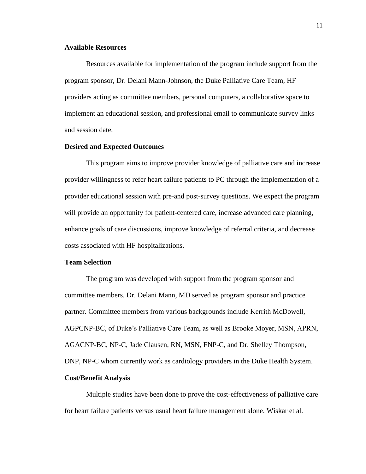## **Available Resources**

Resources available for implementation of the program include support from the program sponsor, Dr. Delani Mann-Johnson, the Duke Palliative Care Team, HF providers acting as committee members, personal computers, a collaborative space to implement an educational session, and professional email to communicate survey links and session date.

#### **Desired and Expected Outcomes**

This program aims to improve provider knowledge of palliative care and increase provider willingness to refer heart failure patients to PC through the implementation of a provider educational session with pre-and post-survey questions. We expect the program will provide an opportunity for patient-centered care, increase advanced care planning, enhance goals of care discussions, improve knowledge of referral criteria, and decrease costs associated with HF hospitalizations.

#### **Team Selection**

The program was developed with support from the program sponsor and committee members. Dr. Delani Mann, MD served as program sponsor and practice partner. Committee members from various backgrounds include Kerrith McDowell, AGPCNP-BC, of Duke's Palliative Care Team, as well as Brooke Moyer, MSN, APRN, AGACNP-BC, NP-C, Jade Clausen, RN, MSN, FNP-C, and Dr. Shelley Thompson, DNP, NP-C whom currently work as cardiology providers in the Duke Health System.

### **Cost/Benefit Analysis**

Multiple studies have been done to prove the cost-effectiveness of palliative care for heart failure patients versus usual heart failure management alone. Wiskar et al.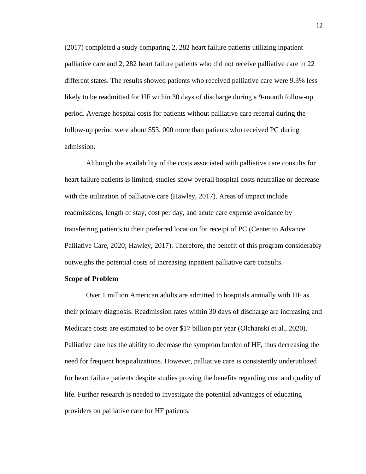(2017) completed a study comparing 2, 282 heart failure patients utilizing inpatient palliative care and 2, 282 heart failure patients who did not receive palliative care in 22 different states. The results showed patients who received palliative care were 9.3% less likely to be readmitted for HF within 30 days of discharge during a 9-month follow-up period. Average hospital costs for patients without palliative care referral during the follow-up period were about \$53, 000 more than patients who received PC during admission.

Although the availability of the costs associated with palliative care consults for heart failure patients is limited, studies show overall hospital costs neutralize or decrease with the utilization of palliative care (Hawley, 2017). Areas of impact include readmissions, length of stay, cost per day, and acute care expense avoidance by transferring patients to their preferred location for receipt of PC (Center to Advance Palliative Care, 2020; Hawley, 2017). Therefore, the benefit of this program considerably outweighs the potential costs of increasing inpatient palliative care consults.

#### **Scope of Problem**

Over 1 million American adults are admitted to hospitals annually with HF as their primary diagnosis. Readmission rates within 30 days of discharge are increasing and Medicare costs are estimated to be over \$17 billion per year (Olchanski et al., 2020). Palliative care has the ability to decrease the symptom burden of HF, thus decreasing the need for frequent hospitalizations. However, palliative care is consistently underutilized for heart failure patients despite studies proving the benefits regarding cost and quality of life. Further research is needed to investigate the potential advantages of educating providers on palliative care for HF patients.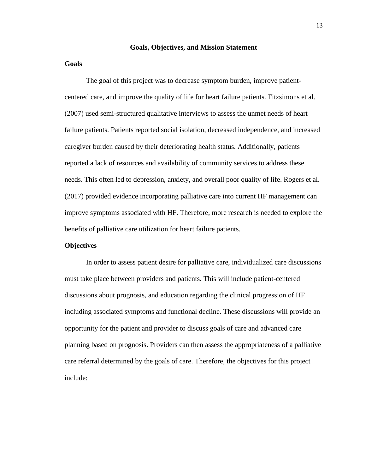### **Goals, Objectives, and Mission Statement**

## **Goals**

The goal of this project was to decrease symptom burden, improve patientcentered care, and improve the quality of life for heart failure patients. Fitzsimons et al. (2007) used semi-structured qualitative interviews to assess the unmet needs of heart failure patients. Patients reported social isolation, decreased independence, and increased caregiver burden caused by their deteriorating health status. Additionally, patients reported a lack of resources and availability of community services to address these needs. This often led to depression, anxiety, and overall poor quality of life. Rogers et al. (2017) provided evidence incorporating palliative care into current HF management can improve symptoms associated with HF. Therefore, more research is needed to explore the benefits of palliative care utilization for heart failure patients.

## **Objectives**

In order to assess patient desire for palliative care, individualized care discussions must take place between providers and patients. This will include patient-centered discussions about prognosis, and education regarding the clinical progression of HF including associated symptoms and functional decline. These discussions will provide an opportunity for the patient and provider to discuss goals of care and advanced care planning based on prognosis. Providers can then assess the appropriateness of a palliative care referral determined by the goals of care. Therefore, the objectives for this project include: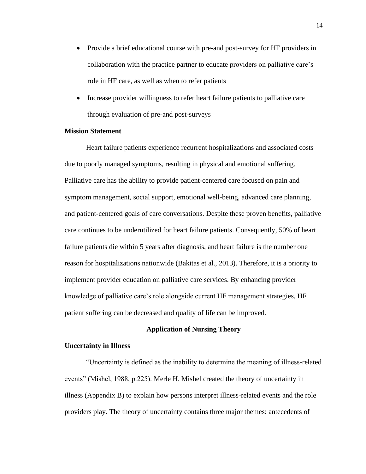- Provide a brief educational course with pre-and post-survey for HF providers in collaboration with the practice partner to educate providers on palliative care's role in HF care, as well as when to refer patients
- Increase provider willingness to refer heart failure patients to palliative care through evaluation of pre-and post-surveys

### **Mission Statement**

Heart failure patients experience recurrent hospitalizations and associated costs due to poorly managed symptoms, resulting in physical and emotional suffering. Palliative care has the ability to provide patient-centered care focused on pain and symptom management, social support, emotional well-being, advanced care planning, and patient-centered goals of care conversations. Despite these proven benefits, palliative care continues to be underutilized for heart failure patients. Consequently, 50% of heart failure patients die within 5 years after diagnosis, and heart failure is the number one reason for hospitalizations nationwide (Bakitas et al., 2013). Therefore, it is a priority to implement provider education on palliative care services. By enhancing provider knowledge of palliative care's role alongside current HF management strategies, HF patient suffering can be decreased and quality of life can be improved.

## **Application of Nursing Theory**

## **Uncertainty in Illness**

"Uncertainty is defined as the inability to determine the meaning of illness-related events" (Mishel, 1988, p.225). Merle H. Mishel created the theory of uncertainty in illness (Appendix B) to explain how persons interpret illness-related events and the role providers play. The theory of uncertainty contains three major themes: antecedents of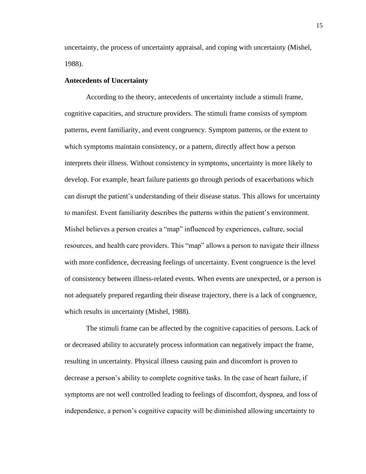uncertainty, the process of uncertainty appraisal, and coping with uncertainty (Mishel, 1988).

## **Antecedents of Uncertainty**

According to the theory, antecedents of uncertainty include a stimuli frame, cognitive capacities, and structure providers. The stimuli frame consists of symptom patterns, event familiarity, and event congruency. Symptom patterns, or the extent to which symptoms maintain consistency, or a pattern, directly affect how a person interprets their illness. Without consistency in symptoms, uncertainty is more likely to develop. For example, heart failure patients go through periods of exacerbations which can disrupt the patient's understanding of their disease status. This allows for uncertainty to manifest. Event familiarity describes the patterns within the patient's environment. Mishel believes a person creates a "map" influenced by experiences, culture, social resources, and health care providers. This "map" allows a person to navigate their illness with more confidence, decreasing feelings of uncertainty. Event congruence is the level of consistency between illness-related events. When events are unexpected, or a person is not adequately prepared regarding their disease trajectory, there is a lack of congruence, which results in uncertainty (Mishel, 1988).

The stimuli frame can be affected by the cognitive capacities of persons. Lack of or decreased ability to accurately process information can negatively impact the frame, resulting in uncertainty. Physical illness causing pain and discomfort is proven to decrease a person's ability to complete cognitive tasks. In the case of heart failure, if symptoms are not well controlled leading to feelings of discomfort, dyspnea, and loss of independence, a person's cognitive capacity will be diminished allowing uncertainty to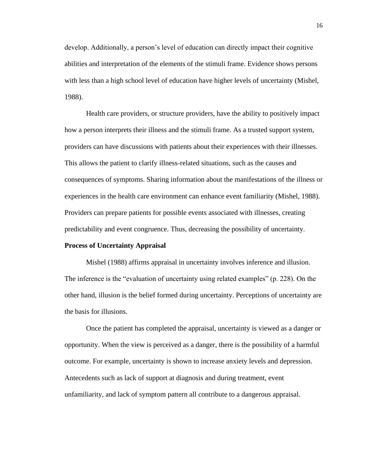develop. Additionally, a person's level of education can directly impact their cognitive abilities and interpretation of the elements of the stimuli frame. Evidence shows persons with less than a high school level of education have higher levels of uncertainty (Mishel, 1988).

Health care providers, or structure providers, have the ability to positively impact how a person interprets their illness and the stimuli frame. As a trusted support system, providers can have discussions with patients about their experiences with their illnesses. This allows the patient to clarify illness-related situations, such as the causes and consequences of symptoms. Sharing information about the manifestations of the illness or experiences in the health care environment can enhance event familiarity (Mishel, 1988). Providers can prepare patients for possible events associated with illnesses, creating predictability and event congruence. Thus, decreasing the possibility of uncertainty.

#### **Process of Uncertainty Appraisal**

Mishel (1988) affirms appraisal in uncertainty involves inference and illusion. The inference is the "evaluation of uncertainty using related examples" (p. 228). On the other hand, illusion is the belief formed during uncertainty. Perceptions of uncertainty are the basis for illusions.

Once the patient has completed the appraisal, uncertainty is viewed as a danger or opportunity. When the view is perceived as a danger, there is the possibility of a harmful outcome. For example, uncertainty is shown to increase anxiety levels and depression. Antecedents such as lack of support at diagnosis and during treatment, event unfamiliarity, and lack of symptom pattern all contribute to a dangerous appraisal.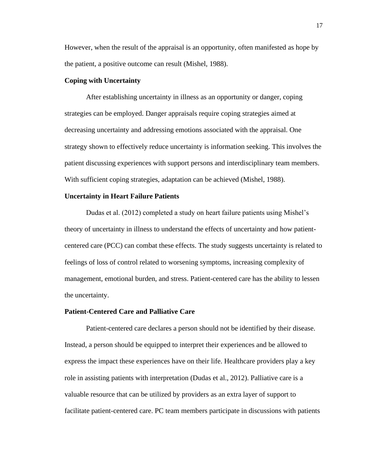However, when the result of the appraisal is an opportunity, often manifested as hope by the patient, a positive outcome can result (Mishel, 1988).

## **Coping with Uncertainty**

After establishing uncertainty in illness as an opportunity or danger, coping strategies can be employed. Danger appraisals require coping strategies aimed at decreasing uncertainty and addressing emotions associated with the appraisal. One strategy shown to effectively reduce uncertainty is information seeking. This involves the patient discussing experiences with support persons and interdisciplinary team members. With sufficient coping strategies, adaptation can be achieved (Mishel, 1988).

#### **Uncertainty in Heart Failure Patients**

Dudas et al. (2012) completed a study on heart failure patients using Mishel's theory of uncertainty in illness to understand the effects of uncertainty and how patientcentered care (PCC) can combat these effects. The study suggests uncertainty is related to feelings of loss of control related to worsening symptoms, increasing complexity of management, emotional burden, and stress. Patient-centered care has the ability to lessen the uncertainty.

### **Patient-Centered Care and Palliative Care**

Patient-centered care declares a person should not be identified by their disease. Instead, a person should be equipped to interpret their experiences and be allowed to express the impact these experiences have on their life. Healthcare providers play a key role in assisting patients with interpretation (Dudas et al., 2012). Palliative care is a valuable resource that can be utilized by providers as an extra layer of support to facilitate patient-centered care. PC team members participate in discussions with patients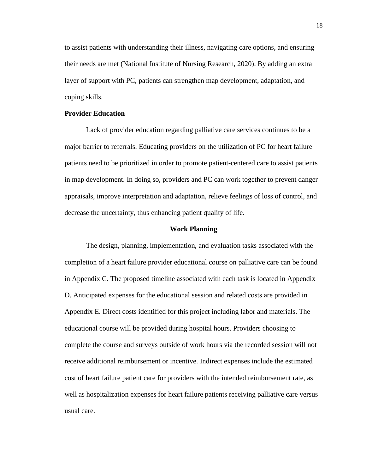to assist patients with understanding their illness, navigating care options, and ensuring their needs are met (National Institute of Nursing Research, 2020). By adding an extra layer of support with PC, patients can strengthen map development, adaptation, and coping skills.

## **Provider Education**

Lack of provider education regarding palliative care services continues to be a major barrier to referrals. Educating providers on the utilization of PC for heart failure patients need to be prioritized in order to promote patient-centered care to assist patients in map development. In doing so, providers and PC can work together to prevent danger appraisals, improve interpretation and adaptation, relieve feelings of loss of control, and decrease the uncertainty, thus enhancing patient quality of life.

#### **Work Planning**

The design, planning, implementation, and evaluation tasks associated with the completion of a heart failure provider educational course on palliative care can be found in Appendix C. The proposed timeline associated with each task is located in Appendix D. Anticipated expenses for the educational session and related costs are provided in Appendix E. Direct costs identified for this project including labor and materials. The educational course will be provided during hospital hours. Providers choosing to complete the course and surveys outside of work hours via the recorded session will not receive additional reimbursement or incentive. Indirect expenses include the estimated cost of heart failure patient care for providers with the intended reimbursement rate, as well as hospitalization expenses for heart failure patients receiving palliative care versus usual care.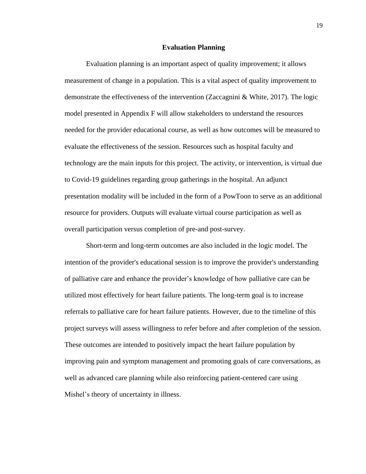#### **Evaluation Planning**

Evaluation planning is an important aspect of quality improvement; it allows measurement of change in a population. This is a vital aspect of quality improvement to demonstrate the effectiveness of the intervention (Zaccagnini & White, 2017). The logic model presented in Appendix F will allow stakeholders to understand the resources needed for the provider educational course, as well as how outcomes will be measured to evaluate the effectiveness of the session. Resources such as hospital faculty and technology are the main inputs for this project. The activity, or intervention, is virtual due to Covid-19 guidelines regarding group gatherings in the hospital. An adjunct presentation modality will be included in the form of a PowToon to serve as an additional resource for providers. Outputs will evaluate virtual course participation as well as overall participation versus completion of pre-and post-survey.

Short-term and long-term outcomes are also included in the logic model. The intention of the provider's educational session is to improve the provider's understanding of palliative care and enhance the provider's knowledge of how palliative care can be utilized most effectively for heart failure patients. The long-term goal is to increase referrals to palliative care for heart failure patients. However, due to the timeline of this project surveys will assess willingness to refer before and after completion of the session. These outcomes are intended to positively impact the heart failure population by improving pain and symptom management and promoting goals of care conversations, as well as advanced care planning while also reinforcing patient-centered care using Mishel's theory of uncertainty in illness.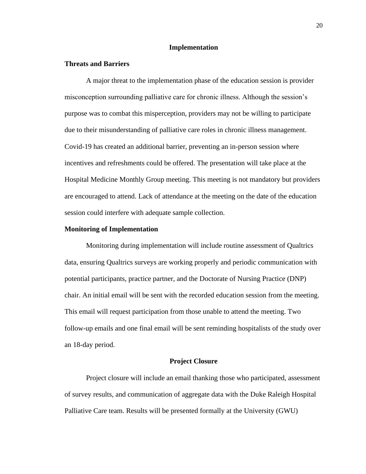## **Implementation**

### **Threats and Barriers**

A major threat to the implementation phase of the education session is provider misconception surrounding palliative care for chronic illness. Although the session's purpose was to combat this misperception, providers may not be willing to participate due to their misunderstanding of palliative care roles in chronic illness management. Covid-19 has created an additional barrier, preventing an in-person session where incentives and refreshments could be offered. The presentation will take place at the Hospital Medicine Monthly Group meeting. This meeting is not mandatory but providers are encouraged to attend. Lack of attendance at the meeting on the date of the education session could interfere with adequate sample collection.

#### **Monitoring of Implementation**

Monitoring during implementation will include routine assessment of Qualtrics data, ensuring Qualtrics surveys are working properly and periodic communication with potential participants, practice partner, and the Doctorate of Nursing Practice (DNP) chair. An initial email will be sent with the recorded education session from the meeting. This email will request participation from those unable to attend the meeting. Two follow-up emails and one final email will be sent reminding hospitalists of the study over an 18-day period.

#### **Project Closure**

Project closure will include an email thanking those who participated, assessment of survey results, and communication of aggregate data with the Duke Raleigh Hospital Palliative Care team. Results will be presented formally at the University (GWU)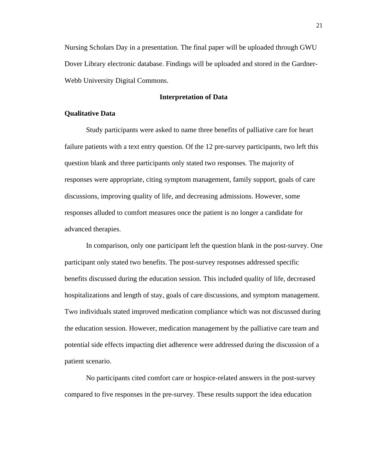Nursing Scholars Day in a presentation. The final paper will be uploaded through GWU Dover Library electronic database. Findings will be uploaded and stored in the Gardner-Webb University Digital Commons.

## **Interpretation of Data**

#### **Qualitative Data**

Study participants were asked to name three benefits of palliative care for heart failure patients with a text entry question. Of the 12 pre-survey participants, two left this question blank and three participants only stated two responses. The majority of responses were appropriate, citing symptom management, family support, goals of care discussions, improving quality of life, and decreasing admissions. However, some responses alluded to comfort measures once the patient is no longer a candidate for advanced therapies.

In comparison, only one participant left the question blank in the post-survey. One participant only stated two benefits. The post-survey responses addressed specific benefits discussed during the education session. This included quality of life, decreased hospitalizations and length of stay, goals of care discussions, and symptom management. Two individuals stated improved medication compliance which was not discussed during the education session. However, medication management by the palliative care team and potential side effects impacting diet adherence were addressed during the discussion of a patient scenario.

No participants cited comfort care or hospice-related answers in the post-survey compared to five responses in the pre-survey. These results support the idea education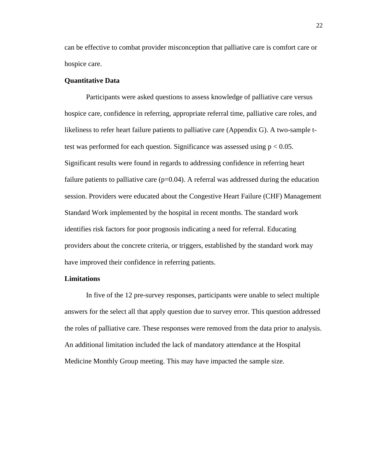can be effective to combat provider misconception that palliative care is comfort care or hospice care.

## **Quantitative Data**

Participants were asked questions to assess knowledge of palliative care versus hospice care, confidence in referring, appropriate referral time, palliative care roles, and likeliness to refer heart failure patients to palliative care (Appendix G). A two-sample ttest was performed for each question. Significance was assessed using  $p < 0.05$ . Significant results were found in regards to addressing confidence in referring heart failure patients to palliative care  $(p=0.04)$ . A referral was addressed during the education session. Providers were educated about the Congestive Heart Failure (CHF) Management Standard Work implemented by the hospital in recent months. The standard work identifies risk factors for poor prognosis indicating a need for referral. Educating providers about the concrete criteria, or triggers, established by the standard work may have improved their confidence in referring patients.

### **Limitations**

In five of the 12 pre-survey responses, participants were unable to select multiple answers for the select all that apply question due to survey error. This question addressed the roles of palliative care. These responses were removed from the data prior to analysis. An additional limitation included the lack of mandatory attendance at the Hospital Medicine Monthly Group meeting. This may have impacted the sample size.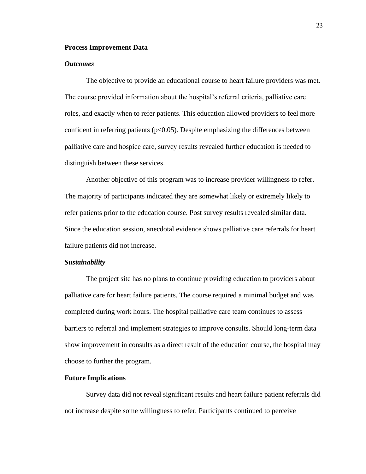#### **Process Improvement Data**

### *Outcomes*

The objective to provide an educational course to heart failure providers was met. The course provided information about the hospital's referral criteria, palliative care roles, and exactly when to refer patients. This education allowed providers to feel more confident in referring patients ( $p<0.05$ ). Despite emphasizing the differences between palliative care and hospice care, survey results revealed further education is needed to distinguish between these services.

Another objective of this program was to increase provider willingness to refer. The majority of participants indicated they are somewhat likely or extremely likely to refer patients prior to the education course. Post survey results revealed similar data. Since the education session, anecdotal evidence shows palliative care referrals for heart failure patients did not increase.

#### *Sustainability*

The project site has no plans to continue providing education to providers about palliative care for heart failure patients. The course required a minimal budget and was completed during work hours. The hospital palliative care team continues to assess barriers to referral and implement strategies to improve consults. Should long-term data show improvement in consults as a direct result of the education course, the hospital may choose to further the program.

#### **Future Implications**

Survey data did not reveal significant results and heart failure patient referrals did not increase despite some willingness to refer. Participants continued to perceive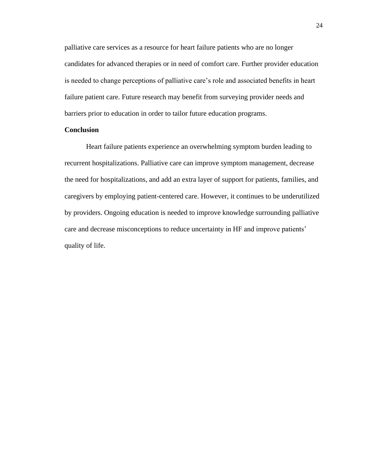palliative care services as a resource for heart failure patients who are no longer candidates for advanced therapies or in need of comfort care. Further provider education is needed to change perceptions of palliative care's role and associated benefits in heart failure patient care. Future research may benefit from surveying provider needs and barriers prior to education in order to tailor future education programs.

## **Conclusion**

Heart failure patients experience an overwhelming symptom burden leading to recurrent hospitalizations. Palliative care can improve symptom management, decrease the need for hospitalizations, and add an extra layer of support for patients, families, and caregivers by employing patient-centered care. However, it continues to be underutilized by providers. Ongoing education is needed to improve knowledge surrounding palliative care and decrease misconceptions to reduce uncertainty in HF and improve patients' quality of life.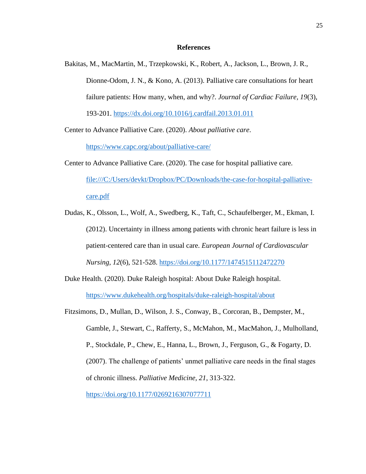## **References**

Bakitas, M., MacMartin, M., Trzepkowski, K., Robert, A., Jackson, L., Brown, J. R., Dionne-Odom, J. N., & Kono, A. (2013). Palliative care consultations for heart failure patients: How many, when, and why?. *Journal of Cardiac Failure, 19*(3), 193-201.<https://dx.doi.org/10.1016/j.cardfail.2013.01.011>

Center to Advance Palliative Care. (2020). *About palliative care*.

<https://www.capc.org/about/palliative-care/>

- Center to Advance Palliative Care. (2020). The case for hospital palliative care. [file:///C:/Users/devkt/Dropbox/PC/Downloads/the-case-for-hospital-palliative](file:///C:/Users/devkt/Dropbox/PC/Downloads/the-case-for-hospital-palliative-care.pdf)[care.pdf](file:///C:/Users/devkt/Dropbox/PC/Downloads/the-case-for-hospital-palliative-care.pdf)
- Dudas, K., Olsson, L., Wolf, A., Swedberg, K., Taft, C., Schaufelberger, M., Ekman, I. (2012). Uncertainty in illness among patients with chronic heart failure is less in patient-centered care than in usual care. *European Journal of Cardiovascular Nursing, 12*(6), 521-528.<https://doi.org/10.1177/1474515112472270>
- Duke Health. (2020). Duke Raleigh hospital: About Duke Raleigh hospital. <https://www.dukehealth.org/hospitals/duke-raleigh-hospital/about>
- Fitzsimons, D., Mullan, D., Wilson, J. S., Conway, B., Corcoran, B., Dempster, M., Gamble, J., Stewart, C., Rafferty, S., McMahon, M., MacMahon, J., Mulholland, P., Stockdale, P., Chew, E., Hanna, L., Brown, J., Ferguson, G., & Fogarty, D. (2007). The challenge of patients' unmet palliative care needs in the final stages of chronic illness. *Palliative Medicine, 21*, 313-322. <https://doi.org/10.1177/0269216307077711>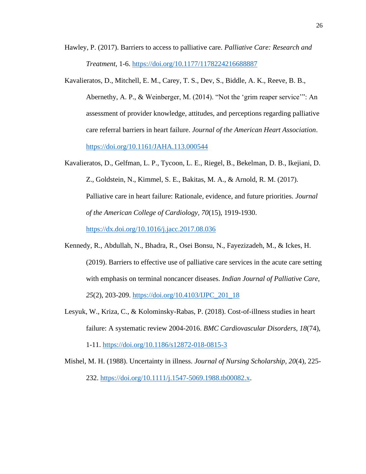- Hawley, P. (2017). Barriers to access to palliative care. *Palliative Care: Research and Treatment*, 1-6.<https://doi.org/10.1177/1178224216688887>
- Kavalieratos, D., Mitchell, E. M., Carey, T. S., Dev, S., Biddle, A. K., Reeve, B. B., Abernethy, A. P., & Weinberger, M. (2014). "Not the 'grim reaper service'": An assessment of provider knowledge, attitudes, and perceptions regarding palliative care referral barriers in heart failure. *Journal of the American Heart Association*. <https://doi.org/10.1161/JAHA.113.000544>
- Kavalieratos, D., Gelfman, L. P., Tycoon, L. E., Riegel, B., Bekelman, D. B., Ikejiani, D. Z., Goldstein, N., Kimmel, S. E., Bakitas, M. A., & Arnold, R. M. (2017). Palliative care in heart failure: Rationale, evidence, and future priorities. *Journal of the American College of Cardiology, 70*(15), 1919-1930. <https://dx.doi.org/10.1016/j.jacc.2017.08.036>
- Kennedy, R., Abdullah, N., Bhadra, R., Osei Bonsu, N., Fayezizadeh, M., & Ickes, H. (2019). Barriers to effective use of palliative care services in the acute care setting with emphasis on terminal noncancer diseases. *Indian Journal of Palliative Care, 25*(2), 203-209. [https://doi.org/10.4103/IJPC\\_201\\_18](https://doi.org/10.4103/IJPC_201_18)
- Lesyuk, W., Kriza, C., & Kolominsky-Rabas, P. (2018). Cost-of-illness studies in heart failure: A systematic review 2004-2016. *BMC Cardiovascular Disorders, 18*(74), 1-11.<https://doi.org/10.1186/s12872-018-0815-3>

Mishel, M. H. (1988). Uncertainty in illness. *Journal of Nursing Scholarship, 20*(4), 225-

232. [https://doi.org/10.1111/j.1547-5069.1988.tb00082.x.](https://doi.org/10.1111/j.1547-5069.1988.tb00082.x)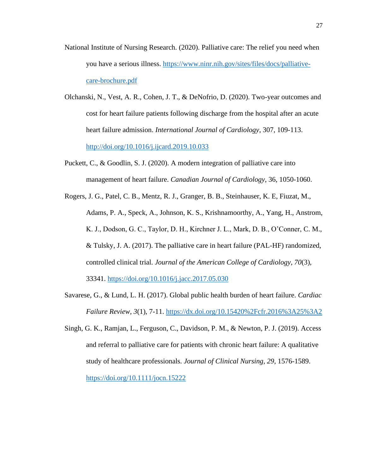- National Institute of Nursing Research. (2020). Palliative care: The relief you need when you have a serious illness. [https://www.ninr.nih.gov/sites/files/docs/palliative](https://www.ninr.nih.gov/sites/files/docs/palliative-care-brochure.pdf)[care-brochure.pdf](https://www.ninr.nih.gov/sites/files/docs/palliative-care-brochure.pdf)
- Olchanski, N., Vest, A. R., Cohen, J. T., & DeNofrio, D. (2020). Two-year outcomes and cost for heart failure patients following discharge from the hospital after an acute heart failure admission. *International Journal of Cardiology*, 307, 109-113. <http://doi.org/10.1016/j.ijcard.2019.10.033>
- Puckett, C., & Goodlin, S. J. (2020). A modern integration of palliative care into management of heart failure. *Canadian Journal of Cardiology*, 36, 1050-1060.
- Rogers, J. G., Patel, C. B., Mentz, R. J., Granger, B. B., Steinhauser, K. E, Fiuzat, M., Adams, P. A., Speck, A., Johnson, K. S., Krishnamoorthy, A., Yang, H., Anstrom, K. J., Dodson, G. C., Taylor, D. H., Kirchner J. L., Mark, D. B., O'Conner, C. M., & Tulsky, J. A. (2017). The palliative care in heart failure (PAL-HF) randomized, controlled clinical trial. *Journal of the American College of Cardiology, 70*(3), 33341.<https://doi.org/10.1016/j.jacc.2017.05.030>
- Savarese, G., & Lund, L. H. (2017). Global public health burden of heart failure. *Cardiac Failure Review, 3*(1), 7-11.<https://dx.doi.org/10.15420%2Fcfr.2016%3A25%3A2>
- Singh, G. K., Ramjan, L., Ferguson, C., Davidson, P. M., & Newton, P. J. (2019). Access and referral to palliative care for patients with chronic heart failure: A qualitative study of healthcare professionals. *Journal of Clinical Nursing, 29*, 1576-1589. <https://doi.org/10.1111/jocn.15222>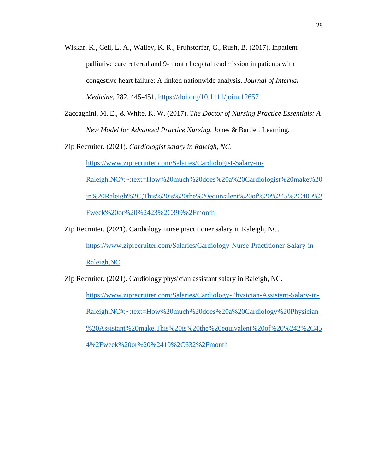- Wiskar, K., Celi, L. A., Walley, K. R., Fruhstorfer, C., Rush, B. (2017). Inpatient palliative care referral and 9-month hospital readmission in patients with congestive heart failure: A linked nationwide analysis. *Journal of Internal Medicine*, 282, 445-451.<https://doi.org/10.1111/joim.12657>
- Zaccagnini, M. E., & White, K. W. (2017). *The Doctor of Nursing Practice Essentials: A New Model for Advanced Practice Nursing*. Jones & Bartlett Learning.

Zip Recruiter. (2021). *Cardiologist salary in Raleigh, NC*.

[https://www.ziprecruiter.com/Salaries/Cardiologist-Salary-in-](https://www.ziprecruiter.com/Salaries/Cardiologist-Salary-in-Raleigh,NC#:~:text=How%20much%20does%20a%20Cardiologist%20make%20in%20Raleigh%2C,This%20is%20the%20equivalent%20of%20%245%2C400%2Fweek%20or%20%2423%2C399%2Fmonth)

[Raleigh,NC#:~:text=How%20much%20does%20a%20Cardiologist%20make%20](https://www.ziprecruiter.com/Salaries/Cardiologist-Salary-in-Raleigh,NC#:~:text=How%20much%20does%20a%20Cardiologist%20make%20in%20Raleigh%2C,This%20is%20the%20equivalent%20of%20%245%2C400%2Fweek%20or%20%2423%2C399%2Fmonth) [in%20Raleigh%2C,This%20is%20the%20equivalent%20of%20%245%2C400%2](https://www.ziprecruiter.com/Salaries/Cardiologist-Salary-in-Raleigh,NC#:~:text=How%20much%20does%20a%20Cardiologist%20make%20in%20Raleigh%2C,This%20is%20the%20equivalent%20of%20%245%2C400%2Fweek%20or%20%2423%2C399%2Fmonth) [Fweek%20or%20%2423%2C399%2Fmonth](https://www.ziprecruiter.com/Salaries/Cardiologist-Salary-in-Raleigh,NC#:~:text=How%20much%20does%20a%20Cardiologist%20make%20in%20Raleigh%2C,This%20is%20the%20equivalent%20of%20%245%2C400%2Fweek%20or%20%2423%2C399%2Fmonth)

Zip Recruiter. (2021). Cardiology nurse practitioner salary in Raleigh, NC.

[https://www.ziprecruiter.com/Salaries/Cardiology-Nurse-Practitioner-Salary-in-](https://www.ziprecruiter.com/Salaries/Cardiology-Nurse-Practitioner-Salary-in-Raleigh,NC)[Raleigh,NC](https://www.ziprecruiter.com/Salaries/Cardiology-Nurse-Practitioner-Salary-in-Raleigh,NC)

Zip Recruiter. (2021). Cardiology physician assistant salary in Raleigh, NC.

[https://www.ziprecruiter.com/Salaries/Cardiology-Physician-Assistant-Salary-in-](https://www.ziprecruiter.com/Salaries/Cardiology-Physician-Assistant-Salary-in-Raleigh,NC#:~:text=How%20much%20does%20a%20Cardiology%20Physician%20Assistant%20make,This%20is%20the%20equivalent%20of%20%242%2C454%2Fweek%20or%20%2410%2C632%2Fmonth)[Raleigh,NC#:~:text=How%20much%20does%20a%20Cardiology%20Physician](https://www.ziprecruiter.com/Salaries/Cardiology-Physician-Assistant-Salary-in-Raleigh,NC#:~:text=How%20much%20does%20a%20Cardiology%20Physician%20Assistant%20make,This%20is%20the%20equivalent%20of%20%242%2C454%2Fweek%20or%20%2410%2C632%2Fmonth) [%20Assistant%20make,This%20is%20the%20equivalent%20of%20%242%2C45](https://www.ziprecruiter.com/Salaries/Cardiology-Physician-Assistant-Salary-in-Raleigh,NC#:~:text=How%20much%20does%20a%20Cardiology%20Physician%20Assistant%20make,This%20is%20the%20equivalent%20of%20%242%2C454%2Fweek%20or%20%2410%2C632%2Fmonth) [4%2Fweek%20or%20%2410%2C632%2Fmonth](https://www.ziprecruiter.com/Salaries/Cardiology-Physician-Assistant-Salary-in-Raleigh,NC#:~:text=How%20much%20does%20a%20Cardiology%20Physician%20Assistant%20make,This%20is%20the%20equivalent%20of%20%242%2C454%2Fweek%20or%20%2410%2C632%2Fmonth)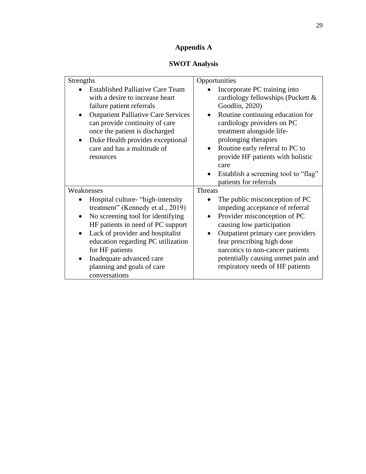# **Appendix A**

# **SWOT Analysis**

| <b>Strengths</b>                                                                                                                                                                                                                                                                                                                                                  | Opportunities                                                                                                                                                                                                                                                                                                                                                                          |
|-------------------------------------------------------------------------------------------------------------------------------------------------------------------------------------------------------------------------------------------------------------------------------------------------------------------------------------------------------------------|----------------------------------------------------------------------------------------------------------------------------------------------------------------------------------------------------------------------------------------------------------------------------------------------------------------------------------------------------------------------------------------|
| <b>Established Palliative Care Team</b><br>with a desire to increase heart<br>failure patient referrals<br><b>Outpatient Palliative Care Services</b><br>can provide continuity of care<br>once the patient is discharged<br>Duke Health provides exceptional<br>$\bullet$<br>care and has a multitude of<br>resources                                            | Incorporate PC training into<br>cardiology fellowships (Puckett &<br>Goodlin, 2020)<br>Routine continuing education for<br>cardiology providers on PC<br>treatment alongside life-<br>prolonging therapies<br>Routine early referral to PC to<br>$\bullet$<br>provide HF patients with holistic<br>care<br>Establish a screening tool to "flag"<br>$\bullet$<br>patients for referrals |
| Weaknesses<br>Hospital culture- "high-intensity"<br>treatment" (Kennedy et al., 2019)<br>No screening tool for identifying<br>$\bullet$<br>HF patients in need of PC support<br>Lack of provider and hospitalist<br>$\bullet$<br>education regarding PC utilization<br>for HF patients<br>Inadequate advanced care<br>planning and goals of care<br>conversations | <b>Threats</b><br>The public misconception of PC<br>impeding acceptance of referral<br>Provider misconception of PC<br>causing low participation<br>Outpatient primary care providers<br>fear prescribing high dose<br>narcotics to non-cancer patients<br>potentially causing unmet pain and<br>respiratory needs of HF patients                                                      |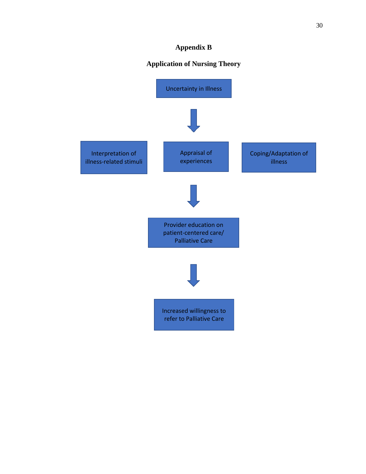## **Appendix B**

## **Application of Nursing Theory**

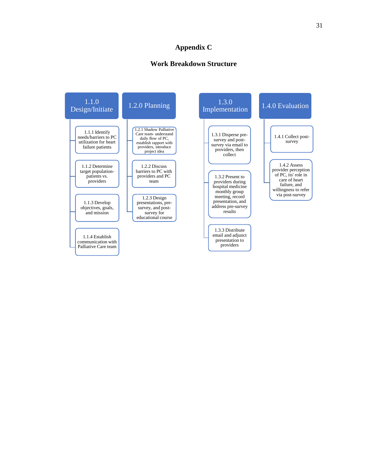## **Appendix C**

## **Work Breakdown Structure**

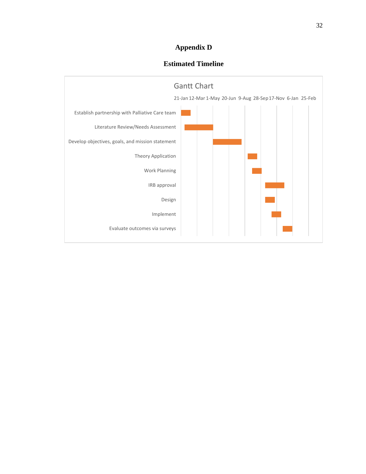## **Appendix D**

## **Estimated Timeline**

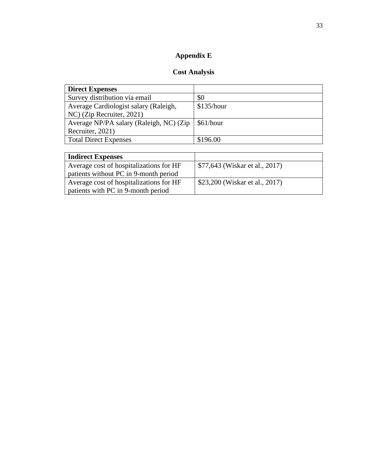# **Appendix E**

# **Cost Analysis**

| \$0        |
|------------|
| \$135/hour |
|            |
| \$61/hour  |
|            |
| \$196.00   |
|            |

| <b>Indirect Expenses</b>                |                                |
|-----------------------------------------|--------------------------------|
| Average cost of hospitalizations for HF | \$77,643 (Wiskar et al., 2017) |
| patients without PC in 9-month period   |                                |
| Average cost of hospitalizations for HF | \$23,200 (Wiskar et al., 2017) |
| patients with PC in 9-month period      |                                |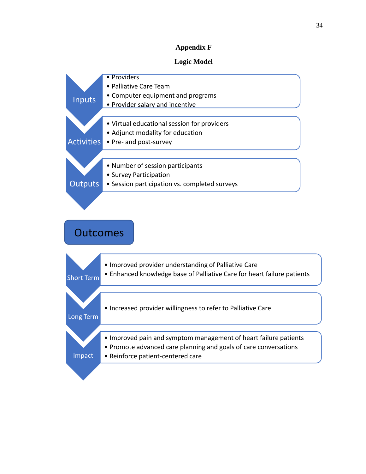## **Appendix F**

## **Logic Model**

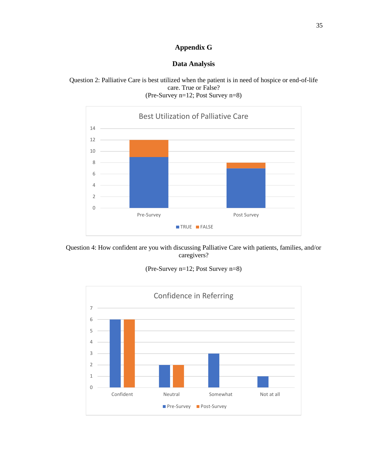## **Appendix G**

## **Data Analysis**





Question 4: How confident are you with discussing Palliative Care with patients, families, and/or caregivers?

(Pre-Survey n=12; Post Survey n=8)

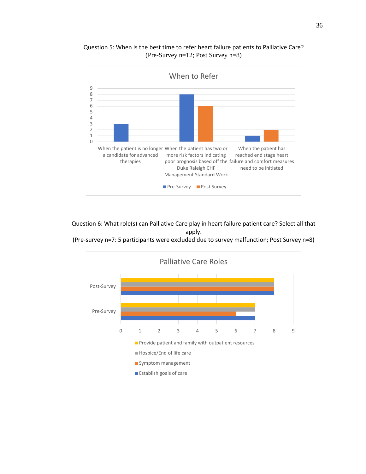

Question 5: When is the best time to refer heart failure patients to Palliative Care? (Pre-Survey n=12; Post Survey n=8)

Question 6: What role(s) can Palliative Care play in heart failure patient care? Select all that apply.

(Pre-survey n=7: 5 participants were excluded due to survey malfunction; Post Survey n=8)